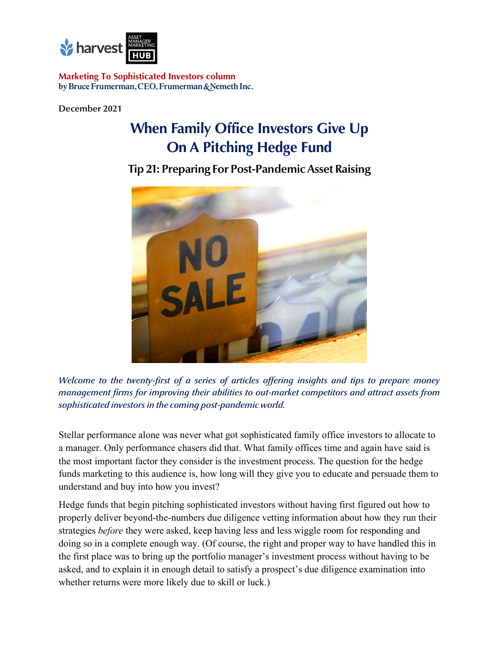

**Marketing To Sophisticated Investors column** by Bruce Frumerman, CEO, Frumerman & Nemeth Inc.

**December 2021**

## **When Family Office Investors Give Up On A Pitching Hedge Fund**

**Tip 21: Preparing For Post-Pandemic Asset Raising** 



*Welcome to the twenty-first of a series of articles offering insights and tips to prepare money management firms for improving their abilities to out-market competitors and attract assets from sophisticated investors in the coming post-pandemic world.*

Stellar performance alone was never what got sophisticated family office investors to allocate to a manager. Only performance chasers did that. What family offices time and again have said is the most important factor they consider is the investment process. The question for the hedge funds marketing to this audience is, how long will they give you to educate and persuade them to understand and buy into how you invest?

Hedge funds that begin pitching sophisticated investors without having first figured out how to properly deliver beyond-the-numbers due diligence vetting information about how they run their strategies *before* they were asked, keep having less and less wiggle room for responding and doing so in a complete enough way. (Of course, the right and proper way to have handled this in the first place was to bring up the portfolio manager's investment process without having to be asked, and to explain it in enough detail to satisfy a prospect's due diligence examination into whether returns were more likely due to skill or luck.)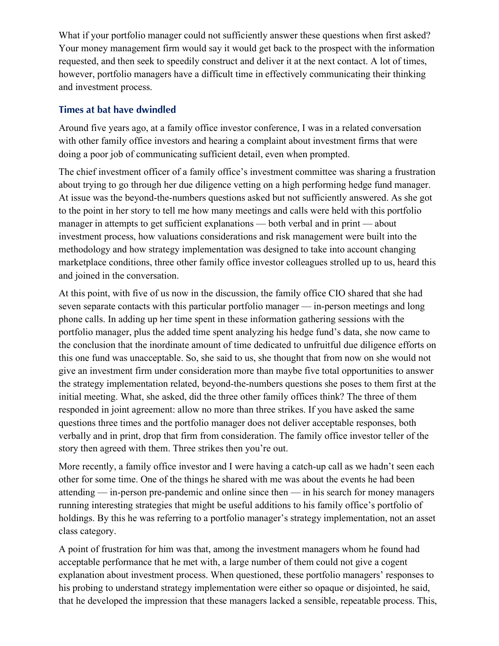What if your portfolio manager could not sufficiently answer these questions when first asked? Your money management firm would say it would get back to the prospect with the information requested, and then seek to speedily construct and deliver it at the next contact. A lot of times, however, portfolio managers have a difficult time in effectively communicating their thinking and investment process.

## **Times at bat have dwindled**

Around five years ago, at a family office investor conference, I was in a related conversation with other family office investors and hearing a complaint about investment firms that were doing a poor job of communicating sufficient detail, even when prompted.

The chief investment officer of a family office's investment committee was sharing a frustration about trying to go through her due diligence vetting on a high performing hedge fund manager. At issue was the beyond-the-numbers questions asked but not sufficiently answered. As she got to the point in her story to tell me how many meetings and calls were held with this portfolio manager in attempts to get sufficient explanations — both verbal and in print — about investment process, how valuations considerations and risk management were built into the methodology and how strategy implementation was designed to take into account changing marketplace conditions, three other family office investor colleagues strolled up to us, heard this and joined in the conversation.

At this point, with five of us now in the discussion, the family office CIO shared that she had seven separate contacts with this particular portfolio manager — in-person meetings and long phone calls. In adding up her time spent in these information gathering sessions with the portfolio manager, plus the added time spent analyzing his hedge fund's data, she now came to the conclusion that the inordinate amount of time dedicated to unfruitful due diligence efforts on this one fund was unacceptable. So, she said to us, she thought that from now on she would not give an investment firm under consideration more than maybe five total opportunities to answer the strategy implementation related, beyond-the-numbers questions she poses to them first at the initial meeting. What, she asked, did the three other family offices think? The three of them responded in joint agreement: allow no more than three strikes. If you have asked the same questions three times and the portfolio manager does not deliver acceptable responses, both verbally and in print, drop that firm from consideration. The family office investor teller of the story then agreed with them. Three strikes then you're out.

More recently, a family office investor and I were having a catch-up call as we hadn't seen each other for some time. One of the things he shared with me was about the events he had been attending — in-person pre-pandemic and online since then — in his search for money managers running interesting strategies that might be useful additions to his family office's portfolio of holdings. By this he was referring to a portfolio manager's strategy implementation, not an asset class category.

A point of frustration for him was that, among the investment managers whom he found had acceptable performance that he met with, a large number of them could not give a cogent explanation about investment process. When questioned, these portfolio managers' responses to his probing to understand strategy implementation were either so opaque or disjointed, he said, that he developed the impression that these managers lacked a sensible, repeatable process. This,